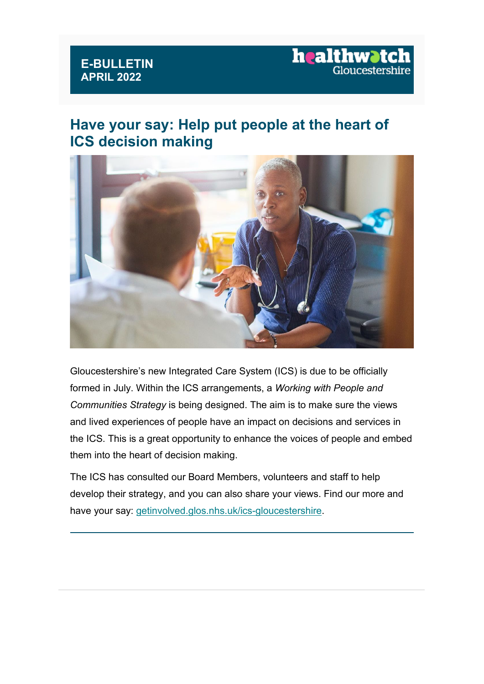#### **E-BULLETIN APRIL 2022**

#### **Have your say: Help put people at the heart of ICS decision making**



Gloucestershire's new Integrated Care System (ICS) is due to be officially formed in July. Within the ICS arrangements, a *Working with People and Communities Strategy* is being designed. The aim is to make sure the views and lived experiences of people have an impact on decisions and services in the ICS. This is a great opportunity to enhance the voices of people and embed them into the heart of decision making.

The ICS has consulted our Board Members, volunteers and staff to help develop their strategy, and you can also share your views. Find our more and have your say: [getinvolved.glos.nhs.uk/ics-gloucestershire.](https://healthwatchgloucestershire.us3.list-manage.com/track/click?u=381cee1830e9e27f34f9e64ab&id=b676c7ab56&e=5a7d9dae3a)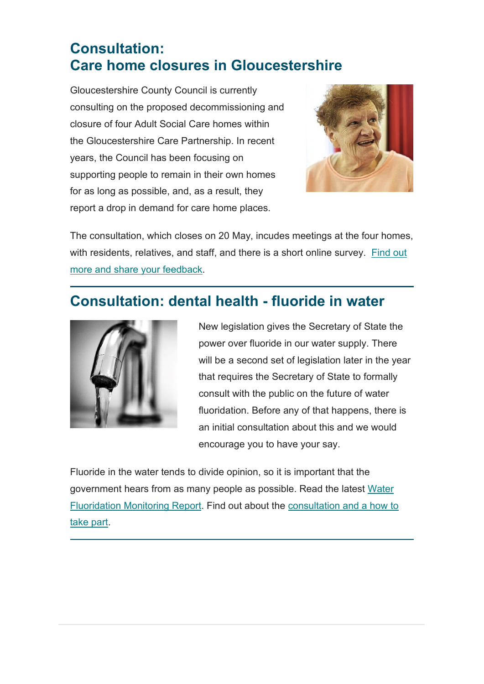#### **Consultation: Care home closures in Gloucestershire**

Gloucestershire County Council is currently consulting on the proposed decommissioning and closure of four Adult Social Care homes within the Gloucestershire Care Partnership. In recent years, the Council has been focusing on supporting people to remain in their own homes for as long as possible, and, as a result, they report a drop in demand for care home places.



The consultation, which closes on 20 May, incudes meetings at the four homes, with residents, relatives, and staff, and there is a short online survey. [Find out](https://healthwatchgloucestershire.us3.list-manage.com/track/click?u=381cee1830e9e27f34f9e64ab&id=68c90104a8&e=5a7d9dae3a)  [more and share your feedback.](https://healthwatchgloucestershire.us3.list-manage.com/track/click?u=381cee1830e9e27f34f9e64ab&id=68c90104a8&e=5a7d9dae3a)

### **Consultation: dental health - fluoride in water**



New legislation gives the Secretary of State the power over fluoride in our water supply. There will be a second set of legislation later in the year that requires the Secretary of State to formally consult with the public on the future of water fluoridation. Before any of that happens, there is an initial consultation about this and we would encourage you to have your say.

Fluoride in the water tends to divide opinion, so it is important that the government hears from as many people as possible. Read the latest [Water](https://healthwatchgloucestershire.us3.list-manage.com/track/click?u=381cee1830e9e27f34f9e64ab&id=ee9012fcd7&e=5a7d9dae3a)  [Fluoridation Monitoring Report.](https://healthwatchgloucestershire.us3.list-manage.com/track/click?u=381cee1830e9e27f34f9e64ab&id=ee9012fcd7&e=5a7d9dae3a) Find out about the [consultation and a how to](https://healthwatchgloucestershire.us3.list-manage.com/track/click?u=381cee1830e9e27f34f9e64ab&id=3b456494bb&e=5a7d9dae3a)  [take part.](https://healthwatchgloucestershire.us3.list-manage.com/track/click?u=381cee1830e9e27f34f9e64ab&id=3b456494bb&e=5a7d9dae3a)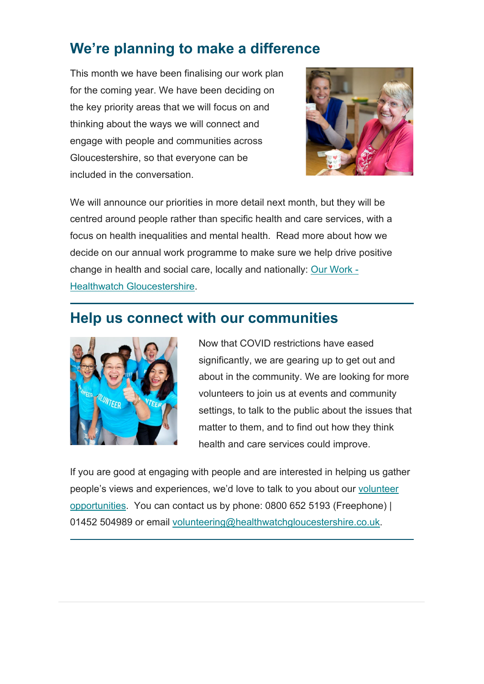## **We're planning to make a difference**

This month we have been finalising our work plan for the coming year. We have been deciding on the key priority areas that we will focus on and thinking about the ways we will connect and engage with people and communities across Gloucestershire, so that everyone can be included in the conversation.



We will announce our priorities in more detail next month, but they will be centred around people rather than specific health and care services, with a focus on health inequalities and mental health. Read more about how we decide on our annual work programme to make sure we help drive positive change in health and social care, locally and nationally: [Our Work -](https://healthwatchgloucestershire.us3.list-manage.com/track/click?u=381cee1830e9e27f34f9e64ab&id=00f53bc839&e=5a7d9dae3a) [Healthwatch Gloucestershire.](https://healthwatchgloucestershire.us3.list-manage.com/track/click?u=381cee1830e9e27f34f9e64ab&id=00f53bc839&e=5a7d9dae3a)

#### **Help us connect with our communities**



Now that COVID restrictions have eased significantly, we are gearing up to get out and about in the community. We are looking for more volunteers to join us at events and community settings, to talk to the public about the issues that matter to them, and to find out how they think health and care services could improve.

If you are good at engaging with people and are interested in helping us gather people's views and experiences, we'd love to talk to you about our [volunteer](https://healthwatchgloucestershire.us3.list-manage.com/track/click?u=381cee1830e9e27f34f9e64ab&id=5e633ff4b8&e=5a7d9dae3a)  [opportunities.](https://healthwatchgloucestershire.us3.list-manage.com/track/click?u=381cee1830e9e27f34f9e64ab&id=5e633ff4b8&e=5a7d9dae3a) You can contact us by phone: 0800 652 5193 (Freephone) | 01452 504989 or email [volunteering@healthwatchgloucestershire.co.uk.](mailto:volunteering@healthwatchgloucestershire.co.uk)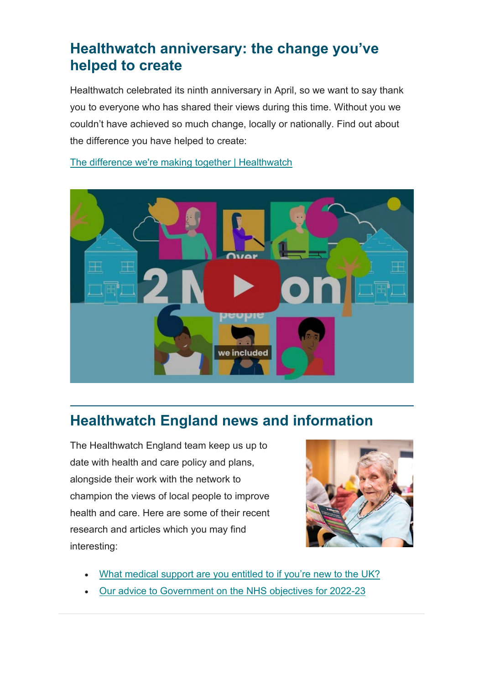#### **Healthwatch anniversary: the change you've helped to create**

Healthwatch celebrated its ninth anniversary in April, so we want to say thank you to everyone who has shared their views during this time. Without you we couldn't have achieved so much change, locally or nationally. Find out about the difference you have helped to create:

[The difference we're making together | Healthwatch](https://healthwatchgloucestershire.us3.list-manage.com/track/click?u=381cee1830e9e27f34f9e64ab&id=4a7e774e70&e=5a7d9dae3a)



## **Healthwatch England news and information**

The Healthwatch England team keep us up to date with health and care policy and plans, alongside their work with the network to champion the views of local people to improve health and care. Here are some of their recent research and articles which you may find interesting:



- [What medical support are you entitled to if you're new to the UK?](https://healthwatchgloucestershire.us3.list-manage.com/track/click?u=381cee1830e9e27f34f9e64ab&id=2616f7a06d&e=5a7d9dae3a)
- [Our advice to Government on the NHS objectives for 2022-23](https://healthwatchgloucestershire.us3.list-manage.com/track/click?u=381cee1830e9e27f34f9e64ab&id=27b8a365cb&e=5a7d9dae3a)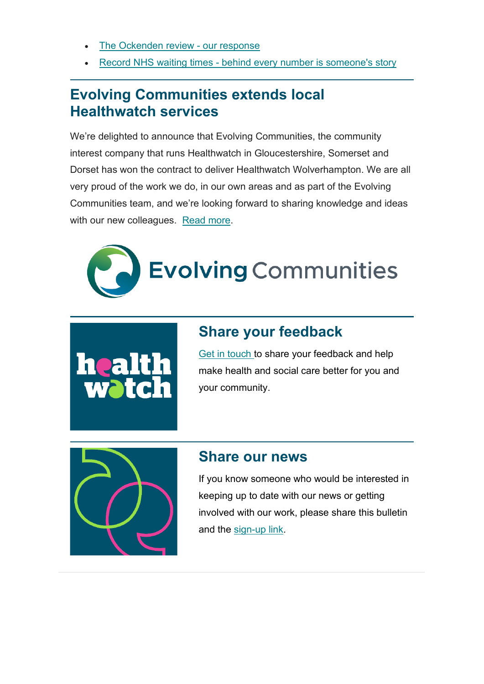- [The Ockenden review -](https://healthwatchgloucestershire.us3.list-manage.com/track/click?u=381cee1830e9e27f34f9e64ab&id=8b40a43534&e=5a7d9dae3a) our response
- Record NHS waiting times [behind every number is someone's story](https://healthwatchgloucestershire.us3.list-manage.com/track/click?u=381cee1830e9e27f34f9e64ab&id=1788f487de&e=5a7d9dae3a)

#### **Evolving Communities extends local Healthwatch services**

We're delighted to announce that Evolving Communities, the community interest company that runs Healthwatch in Gloucestershire, Somerset and Dorset has won the contract to deliver Healthwatch Wolverhampton. We are all very proud of the work we do, in our own areas and as part of the Evolving Communities team, and we're looking forward to sharing knowledge and ideas with our new colleagues. [Read more.](https://healthwatchgloucestershire.us3.list-manage.com/track/click?u=381cee1830e9e27f34f9e64ab&id=8688d81837&e=5a7d9dae3a)





#### **Share your feedback**

[Get in touch t](https://healthwatchgloucestershire.us3.list-manage.com/track/click?u=381cee1830e9e27f34f9e64ab&id=9577966afe&e=5a7d9dae3a)o share your feedback and help make health and social care better for you and your community.



#### **Share our news**

If you know someone who would be interested in keeping up to date with our news or getting involved with our work, please share this bulletin and the [sign-up link.](https://healthwatchgloucestershire.us3.list-manage.com/track/click?u=381cee1830e9e27f34f9e64ab&id=14e744233b&e=5a7d9dae3a)